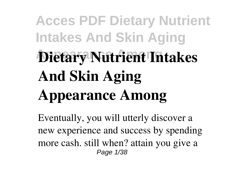# **Acces PDF Dietary Nutrient Intakes And Skin Aging Appearance Among Dietary Nutrient Intakes And Skin Aging Appearance Among**

Eventually, you will utterly discover a new experience and success by spending more cash. still when? attain you give a Page 1/38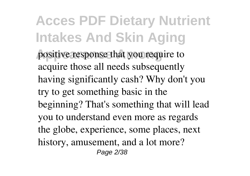**Acces PDF Dietary Nutrient Intakes And Skin Aging** positive response that you require to acquire those all needs subsequently having significantly cash? Why don't you try to get something basic in the beginning? That's something that will lead you to understand even more as regards the globe, experience, some places, next history, amusement, and a lot more? Page 2/38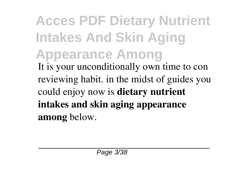**Acces PDF Dietary Nutrient Intakes And Skin Aging Appearance Among** It is your unconditionally own time to con reviewing habit. in the midst of guides you could enjoy now is **dietary nutrient intakes and skin aging appearance among** below.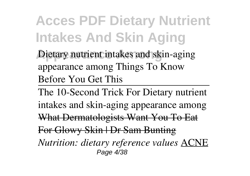Dietary nutrient intakes and skin-aging appearance among Things To Know Before You Get This

The 10-Second Trick For Dietary nutrient intakes and skin-aging appearance among What Dermatologists Want You To Eat For Glowy Skin | Dr Sam Bunting *Nutrition: dietary reference values* ACNE Page 4/38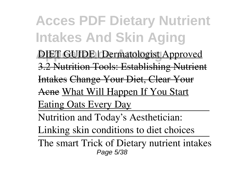**Acces PDF Dietary Nutrient Intakes And Skin Aging DIET GUIDE** | Dermatologist Approved 3.2 Nutrition Tools: Establishing Nutrient Intakes Change Your Diet, Clear Your Acne What Will Happen If You Start Eating Oats Every Day Nutrition and Today's Aesthetician: Linking skin conditions to diet choices The smart Trick of Dietary nutrient intakes Page 5/38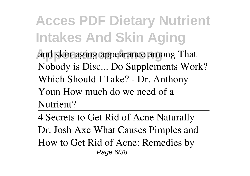and skin-aging appearance among That Nobody is Disc... Do Supplements Work? Which Should I Take? - Dr. Anthony Youn How much do we need of a Nutrient?

4 Secrets to Get Rid of Acne Naturally | Dr. Josh Axe What Causes Pimples and How to Get Rid of Acne: Remedies by Page 6/38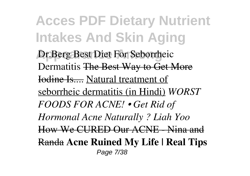**Acces PDF Dietary Nutrient Intakes And Skin Aging Dr.Berg Best Diet For Seborrheic** Dermatitis The Best Way to Get More Iodine Is.... Natural treatment of seborrheic dermatitis (in Hindi) *WORST FOODS FOR ACNE! • Get Rid of Hormonal Acne Naturally ? Liah Yoo* How We CURED Our ACNE - Nina and Randa **Acne Ruined My Life | Real Tips** Page 7/38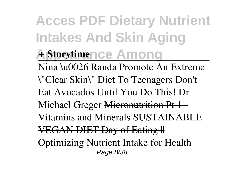**Acces PDF Dietary Nutrient Intakes And Skin Aging A** Storytimence Among Nina \u0026 Randa Promote An Extreme \"Clear Skin\" Diet To Teenagers Don't Eat Avocados Until You Do This! Dr Michael Greger Micronutrition Pt 1-Vitamins and Minerals SUSTAINABLE VEGAN DIET Day of Eating || Optimizing Nutrient Intake for Health Page 8/38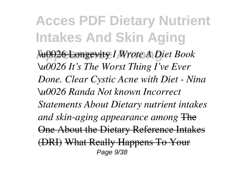**Acces PDF Dietary Nutrient Intakes And Skin Aging Appearance Among** \u0026 Longevity *I Wrote A Diet Book \u0026 It's The Worst Thing I've Ever Done. Clear Cystic Acne with Diet - Nina \u0026 Randa Not known Incorrect Statements About Dietary nutrient intakes and skin-aging appearance among* The One About the Dietary Reference Intakes (DRI) What Really Happens To Your Page 9/38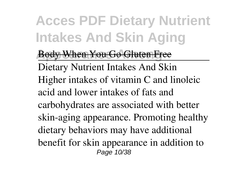**Body When You Go Gluten Free** 

Dietary Nutrient Intakes And Skin Higher intakes of vitamin C and linoleic acid and lower intakes of fats and carbohydrates are associated with better skin-aging appearance. Promoting healthy dietary behaviors may have additional benefit for skin appearance in addition to Page 10/38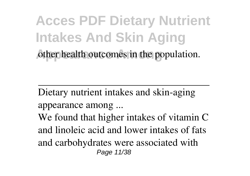**Acces PDF Dietary Nutrient Intakes And Skin Aging** other health outcomes in the population.

Dietary nutrient intakes and skin-aging appearance among ... We found that higher intakes of vitamin C and linoleic acid and lower intakes of fats and carbohydrates were associated with Page 11/38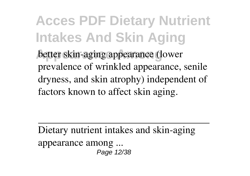**Acces PDF Dietary Nutrient Intakes And Skin Aging better skin-aging appearance (lower** prevalence of wrinkled appearance, senile dryness, and skin atrophy) independent of factors known to affect skin aging.

Dietary nutrient intakes and skin-aging appearance among ... Page 12/38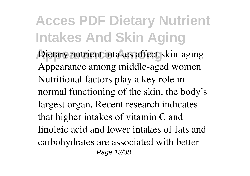Dietary nutrient intakes affect skin-aging Appearance among middle-aged women Nutritional factors play a key role in normal functioning of the skin, the body's largest organ. Recent research indicates that higher intakes of vitamin C and linoleic acid and lower intakes of fats and carbohydrates are associated with better Page 13/38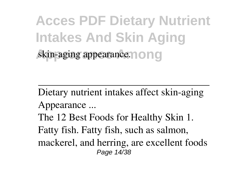**Acces PDF Dietary Nutrient Intakes And Skin Aging skin-aging appearance nonq** 

Dietary nutrient intakes affect skin-aging Appearance ... The 12 Best Foods for Healthy Skin 1. Fatty fish. Fatty fish, such as salmon, mackerel, and herring, are excellent foods Page 14/38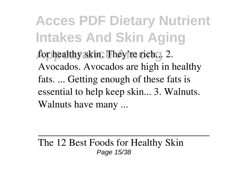**Acces PDF Dietary Nutrient Intakes And Skin Aging** for healthy skin. They're rich... 2. Avocados. Avocados are high in healthy fats. ... Getting enough of these fats is essential to help keep skin... 3. Walnuts. Walnuts have many ...

The 12 Best Foods for Healthy Skin Page 15/38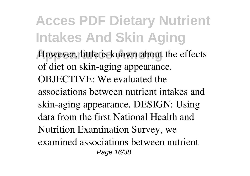However, little is known about the effects of diet on skin-aging appearance. OBJECTIVE: We evaluated the associations between nutrient intakes and skin-aging appearance. DESIGN: Using data from the first National Health and Nutrition Examination Survey, we examined associations between nutrient Page 16/38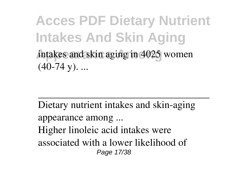**Acces PDF Dietary Nutrient Intakes And Skin Aging** intakes and skin aging in 4025 women  $(40-74 \text{ y})$ . ...

Dietary nutrient intakes and skin-aging appearance among ... Higher linoleic acid intakes were associated with a lower likelihood of Page 17/38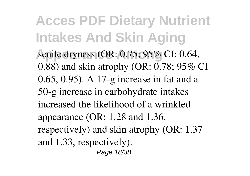**Acces PDF Dietary Nutrient Intakes And Skin Aging** senile dryness (OR: 0.75; 95% CI: 0.64, 0.88) and skin atrophy (OR: 0.78; 95% CI 0.65, 0.95). A 17-g increase in fat and a 50-g increase in carbohydrate intakes increased the likelihood of a wrinkled appearance (OR: 1.28 and 1.36, respectively) and skin atrophy (OR: 1.37 and 1.33, respectively). Page 18/38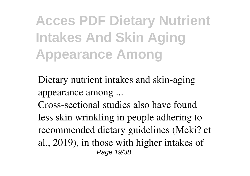**Acces PDF Dietary Nutrient Intakes And Skin Aging Appearance Among**

Dietary nutrient intakes and skin-aging appearance among ... Cross-sectional studies also have found less skin wrinkling in people adhering to recommended dietary guidelines (Meki? et al., 2019), in those with higher intakes of Page 19/38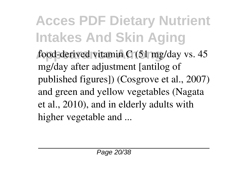food-derived vitamin C (51 mg/day vs. 45 mg/day after adjustment [antilog of published figures]) (Cosgrove et al., 2007) and green and yellow vegetables (Nagata et al., 2010), and in elderly adults with higher vegetable and ...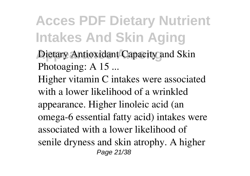- **Dietary Antioxidant Capacity and Skin** Photoaging: A 15 ...
- Higher vitamin C intakes were associated with a lower likelihood of a wrinkled appearance. Higher linoleic acid (an omega-6 essential fatty acid) intakes were associated with a lower likelihood of senile dryness and skin atrophy. A higher Page 21/38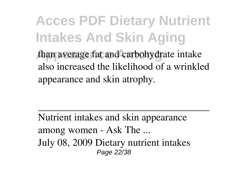**Acces PDF Dietary Nutrient Intakes And Skin Aging** than average fat and carbohydrate intake also increased the likelihood of a wrinkled appearance and skin atrophy.

Nutrient intakes and skin appearance among women - Ask The ... July 08, 2009 Dietary nutrient intakes Page 22/38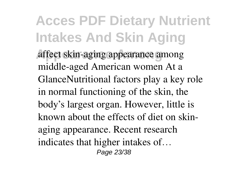**Appearance Among** affect skin-aging appearance among middle-aged American women At a GlanceNutritional factors play a key role in normal functioning of the skin, the body's largest organ. However, little is known about the effects of diet on skinaging appearance. Recent research indicates that higher intakes of… Page 23/38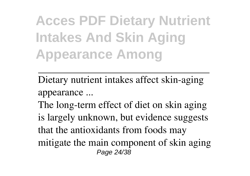**Acces PDF Dietary Nutrient Intakes And Skin Aging Appearance Among**

Dietary nutrient intakes affect skin-aging appearance ...

The long-term effect of diet on skin aging is largely unknown, but evidence suggests that the antioxidants from foods may mitigate the main component of skin aging Page 24/38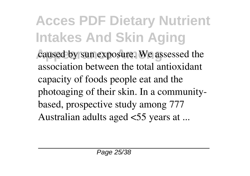**Acces PDF Dietary Nutrient Intakes And Skin Aging** caused by sun exposure. We assessed the association between the total antioxidant capacity of foods people eat and the photoaging of their skin. In a communitybased, prospective study among 777 Australian adults aged <55 years at ...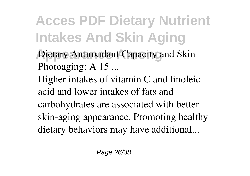- **Dietary Antioxidant Capacity and Skin** Photoaging: A 15 ...
- Higher intakes of vitamin C and linoleic acid and lower intakes of fats and carbohydrates are associated with better skin-aging appearance. Promoting healthy
- dietary behaviors may have additional...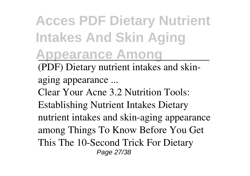# **Acces PDF Dietary Nutrient Intakes And Skin Aging Appearance Among**

(PDF) Dietary nutrient intakes and skinaging appearance ...

Clear Your Acne 3.2 Nutrition Tools:

Establishing Nutrient Intakes Dietary nutrient intakes and skin-aging appearance among Things To Know Before You Get This The 10-Second Trick For Dietary

Page 27/38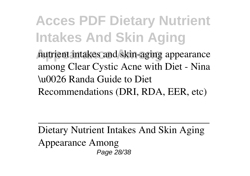**Acces PDF Dietary Nutrient Intakes And Skin Aging Appearance Among** nutrient intakes and skin-aging appearance among Clear Cystic Acne with Diet - Nina \u0026 Randa Guide to Diet Recommendations (DRI, RDA, EER, etc)

Dietary Nutrient Intakes And Skin Aging Appearance Among Page 28/38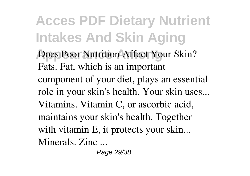**Does Poor Nutrition Affect Your Skin?** Fats. Fat, which is an important component of your diet, plays an essential role in your skin's health. Your skin uses... Vitamins. Vitamin C, or ascorbic acid, maintains your skin's health. Together with vitamin E, it protects your skin... Minerals. Zinc ...

Page 29/38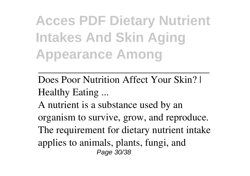**Acces PDF Dietary Nutrient Intakes And Skin Aging Appearance Among**

Does Poor Nutrition Affect Your Skin? | Healthy Eating ...

A nutrient is a substance used by an organism to survive, grow, and reproduce. The requirement for dietary nutrient intake applies to animals, plants, fungi, and Page 30/38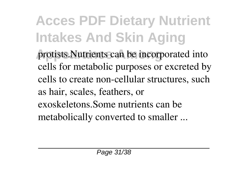protists.Nutrients can be incorporated into cells for metabolic purposes or excreted by cells to create non-cellular structures, such as hair, scales, feathers, or exoskeletons.Some nutrients can be metabolically converted to smaller ...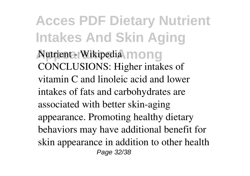**Acces PDF Dietary Nutrient Intakes And Skin Aging Autrient - Wikipedia mong** CONCLUSIONS: Higher intakes of vitamin C and linoleic acid and lower intakes of fats and carbohydrates are associated with better skin-aging appearance. Promoting healthy dietary behaviors may have additional benefit for skin appearance in addition to other health Page 32/38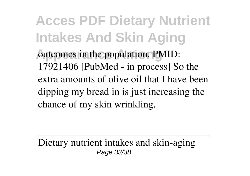**Acces PDF Dietary Nutrient Intakes And Skin Aging** outcomes in the population. PMID: 17921406 [PubMed - in process] So the extra amounts of olive oil that I have been dipping my bread in is just increasing the chance of my skin wrinkling.

Dietary nutrient intakes and skin-aging Page 33/38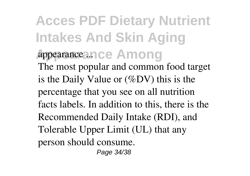**Acces PDF Dietary Nutrient Intakes And Skin Aging Appearance Among** appearance ... The most popular and common food target is the Daily Value or (%DV) this is the percentage that you see on all nutrition facts labels. In addition to this, there is the Recommended Daily Intake (RDI), and Tolerable Upper Limit (UL) that any person should consume.

Page 34/38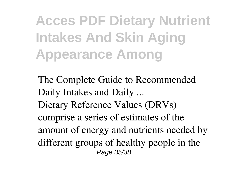**Acces PDF Dietary Nutrient Intakes And Skin Aging Appearance Among**

The Complete Guide to Recommended Daily Intakes and Daily ... Dietary Reference Values (DRVs) comprise a series of estimates of the amount of energy and nutrients needed by different groups of healthy people in the Page 35/38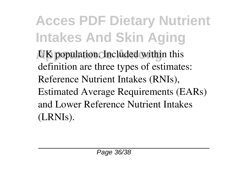**Acces PDF Dietary Nutrient Intakes And Skin Aging UK** population. Included within this definition are three types of estimates: Reference Nutrient Intakes (RNIs), Estimated Average Requirements (EARs) and Lower Reference Nutrient Intakes (LRNIs).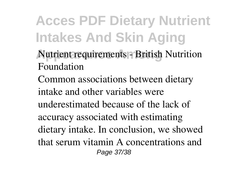- **Nutrient requirements British Nutrition** Foundation
- Common associations between dietary intake and other variables were underestimated because of the lack of accuracy associated with estimating dietary intake. In conclusion, we showed that serum vitamin A concentrations and Page 37/38